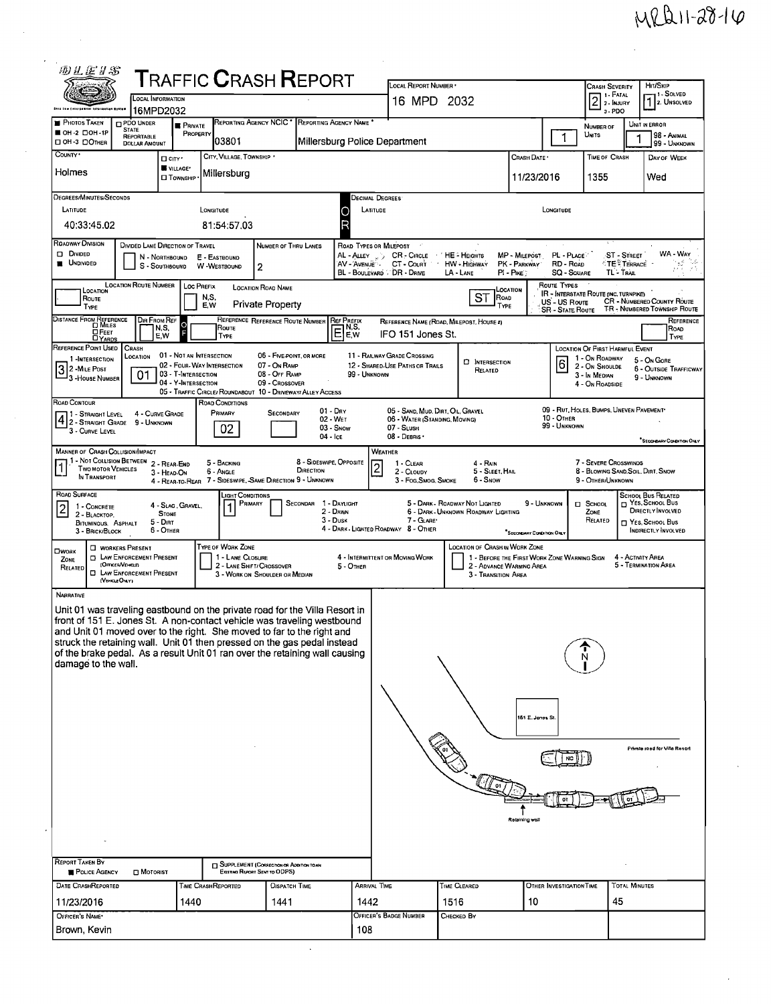## $MRLI1-2814$

| 砂兰运牙名                                                                                                                                                                                                                                                                                                                                                                                                                           |                                                                                                                                                                                   |                                               |                                                                               |                                               |                                                                                  | <b>TRAFFIC CRASH REPORT</b>                               |                             | LOCAL REPORT NUMBER                                                                          |                                         |                                                                         |                                 | <b>CRASH SEVERITY</b>                                                           |                                                    | HIT/SKIP                                              |  |
|---------------------------------------------------------------------------------------------------------------------------------------------------------------------------------------------------------------------------------------------------------------------------------------------------------------------------------------------------------------------------------------------------------------------------------|-----------------------------------------------------------------------------------------------------------------------------------------------------------------------------------|-----------------------------------------------|-------------------------------------------------------------------------------|-----------------------------------------------|----------------------------------------------------------------------------------|-----------------------------------------------------------|-----------------------------|----------------------------------------------------------------------------------------------|-----------------------------------------|-------------------------------------------------------------------------|---------------------------------|---------------------------------------------------------------------------------|----------------------------------------------------|-------------------------------------------------------|--|
| Ship Law Enlorgement Information Busines                                                                                                                                                                                                                                                                                                                                                                                        |                                                                                                                                                                                   | <b>LOCAL INFORMATION</b><br>16MPD2032         |                                                                               |                                               |                                                                                  |                                                           |                             | 16 MPD 2032                                                                                  |                                         |                                                                         |                                 | 2 <sup>1. F</sup> ATAL<br>3-PDO                                                 |                                                    | <sup>1</sup> -SOLVED<br>1. UNSOLVED                   |  |
| <b>PHOTOS TAKEN</b><br>OH-2 DOH-1P                                                                                                                                                                                                                                                                                                                                                                                              | <b>PDO UNDER</b><br><b>STATE</b><br>REPORTABLE                                                                                                                                    |                                               | <b>B</b> PRIVATE<br>PROPERTY                                                  | <b>REPORTING AGENCY NCIC<sup>+</sup></b>      |                                                                                  | REPORTING AGENCY NAME                                     |                             |                                                                                              |                                         |                                                                         | 1                               | NUMBER OF<br>Units                                                              |                                                    | UNIT IN ERROR<br>98 - ANIMAL                          |  |
| □ OH-3 □ ОTHER<br>COUNTY .                                                                                                                                                                                                                                                                                                                                                                                                      | 103801<br>Millersburg Police Department<br><b>DOLLAR AMOUNT</b><br>99 - UNKNOWN<br>CITY, VILLAGE, TOWNSHIP *<br><b>TIME OF CRASH</b><br>CRASH DATE<br>DAY OF WEEK<br>$\Box$ CITY' |                                               |                                                                               |                                               |                                                                                  |                                                           |                             |                                                                                              |                                         |                                                                         |                                 |                                                                                 |                                                    |                                                       |  |
| Holmes                                                                                                                                                                                                                                                                                                                                                                                                                          |                                                                                                                                                                                   | VILLAGE*<br><b>D</b> TOWNSHIP                 |                                                                               | Millersburg                                   |                                                                                  |                                                           |                             |                                                                                              |                                         | 1355                                                                    | Wed                             |                                                                                 |                                                    |                                                       |  |
| DEGREES/MINUTES/SECONDS<br>LATITUDE                                                                                                                                                                                                                                                                                                                                                                                             |                                                                                                                                                                                   |                                               | LONGITUDE                                                                     |                                               |                                                                                  |                                                           | Decimal Degrees             |                                                                                              |                                         |                                                                         |                                 |                                                                                 |                                                    |                                                       |  |
| 40:33:45.02                                                                                                                                                                                                                                                                                                                                                                                                                     |                                                                                                                                                                                   |                                               |                                                                               | 81:54:57.03                                   |                                                                                  |                                                           | Б                           | LATITUDE<br>LONGITUDE                                                                        |                                         |                                                                         |                                 |                                                                                 |                                                    |                                                       |  |
| <b>ROADWAY DIVISION</b><br>D DIVIDED                                                                                                                                                                                                                                                                                                                                                                                            | DIVIDED LANE DIRECTION OF TRAVEL                                                                                                                                                  | N - Northbound                                |                                                                               | E - EASTBOUND                                 | NUMBER OF THRU LANES                                                             |                                                           |                             | ROAD TYPES OR MILEPOST<br>AL - ALLEY J.J. CR - CIRCLE                                        | ' HE - HEIGHTS                          | MP - MILEPOST                                                           | PL - PLACE                      |                                                                                 | ST - STREET                                        | WA - WAY                                              |  |
| <b>UNDIVIDED</b>                                                                                                                                                                                                                                                                                                                                                                                                                |                                                                                                                                                                                   | S - SOUTHBOUND                                |                                                                               | W-WESTBOUND                                   | 2                                                                                |                                                           | AV AVENUE                   | CT - Count<br>BL - BOULEVARD / DR - DRIVE                                                    | <b>HW</b> - Highway<br>LA - LANE        | PK - PARKWAY<br>PI - PIKE                                               | RD - Roap<br><b>SQ - SOUARE</b> |                                                                                 | <sup>≮</sup> TE <sup>®</sup> Terrace<br>TL - TRAIL | V.<br>in ya si                                        |  |
| LOCATION<br>Route                                                                                                                                                                                                                                                                                                                                                                                                               | <b>LOCATION ROUTE NUMBER</b>                                                                                                                                                      |                                               | Loc Prefix<br>N,S,                                                            |                                               | <b>LOCATION ROAD NAME</b>                                                        |                                                           |                             |                                                                                              | <b>ST</b>                               | LOCATION<br>ROAD                                                        | ROUTE TYPES<br>US - US Route    | IR - INTERSTATE ROUTE (INC. TURNPIKE)                                           |                                                    | <b>CR</b> - NUMBERED COUNTY ROUTE                     |  |
| <b>Private Property</b><br>E.W<br>TYPE<br>TYPE<br>TR - NUMBERED TOWNSHIP ROUTE<br><b>SR - STATE ROUTE</b><br>DISTANCE FROM REFERENCE<br>DIR FROM REF<br>REFERENCE REFERENCE ROUTE NUMBER REF PREFIX<br>Reference<br>REFERENCE NAME (ROAD, MILEPOST, HOUSE #)<br>lo<br>Route<br>N,S,                                                                                                                                             |                                                                                                                                                                                   |                                               |                                                                               |                                               |                                                                                  |                                                           |                             |                                                                                              |                                         |                                                                         |                                 |                                                                                 |                                                    |                                                       |  |
| $Q$ FEET<br><b>DYARDS</b><br>REFERENCE POINT USED                                                                                                                                                                                                                                                                                                                                                                               | CRASH                                                                                                                                                                             | E,W                                           |                                                                               | TYPE                                          |                                                                                  |                                                           | EE,w                        | IFO 151 Jones St.                                                                            |                                         |                                                                         |                                 | LOCATION OF FIRST HARMFUL EVENT                                                 |                                                    | ROAD<br><b>TYPE</b>                                   |  |
| 1-INTERSECTION<br>$32$ -Mile Post                                                                                                                                                                                                                                                                                                                                                                                               | LOCATION<br>01                                                                                                                                                                    |                                               | 01 - Not an Intersection<br>02 - FOUR-WAY INTERSECTION<br>03 - T-INTERSECTION |                                               | 06 - FIVE-POINT, OR MORE<br>07 - On RAMP<br>08 - Off RAMP                        |                                                           | 99 - UNKNOWN                | 11 - RAILWAY GRADE CROSSING<br>12 - SHARED-USE PATHS OR TRAILS                               | <b>D</b> INTERSECTION<br>RELATED        |                                                                         | $\vert 6 \vert$                 | 1 - On Roadway<br>2 - On Shoulde<br>3 - In MEDIAN                               |                                                    | 5 - On GORE<br><b>6 - OUTSIDE TRAFFICWAY</b>          |  |
| 3 - House Number                                                                                                                                                                                                                                                                                                                                                                                                                |                                                                                                                                                                                   |                                               | 04 - Y-Intersection                                                           |                                               | 09 - Crossover                                                                   | 05 - Traffic Circle/Roundabout 10 - Driveway/Alley Access |                             |                                                                                              |                                         |                                                                         |                                 | 4 - On ROADSIDE                                                                 |                                                    | 9 - UNKNOWN                                           |  |
| ROAD CONTOUR<br>4 1 - STRAIGHT LEVEL                                                                                                                                                                                                                                                                                                                                                                                            | 9 - UNKNOWN                                                                                                                                                                       | 4 - CURVE GRADE                               |                                                                               | ROAD CONDITIONS<br>PRIMARY                    | <b>SECONDARY</b>                                                                 | $01 - \text{Dny}$<br>02 - WET                             |                             | 06 - WATER (STANDING, MOVING)                                                                | 05 - SAND, MUD, DIRT, OIL, GRAVEL       |                                                                         | 10 - OTHER                      | 09 - RUT. HOLES, BUMPS, UNEVEN PAVEMENT*                                        |                                                    |                                                       |  |
| 3 - CURVE LEVEL                                                                                                                                                                                                                                                                                                                                                                                                                 |                                                                                                                                                                                   |                                               |                                                                               | 02                                            |                                                                                  | 03 - Snow<br>04 - Ice                                     |                             | 07 - SLUSH<br>08 - DEBRIS                                                                    |                                         |                                                                         | 99 - Unknown                    |                                                                                 |                                                    | SECONDARY CONDITION ONLY                              |  |
| <b>MANNER OF CRASH COLLISION/IMPACT</b><br><sup>1</sup> - Not Colusion Between 2 - Rear End<br>Two Motor Vehicles<br>IN TRANSPORT                                                                                                                                                                                                                                                                                               |                                                                                                                                                                                   | 3 - HEAD-ON                                   |                                                                               | 5 - BACKING<br>6 - Angle                      | 4 - REAR-TO-REAR 7 - SIDESWIPE, SAME DIRECTION 9 - UNKNOWN                       | 8 - SIDESWIPE, OPPOSITE<br>DIRECTION                      |                             | <b>WEATHER</b><br>1 - CLEAR<br>$\overline{\mathbf{c}}$<br>2 - CLOUDY<br>3 - Fog. Smog. Smoke | 4 - RAIN<br>5 - SLEET, HAIL<br>6 - Snow |                                                                         |                                 | 7 - SEVERE CROSSWINDS<br>8 - BLOWING SAND SOIL, DIRT, SNOW<br>9 - OTHER/UNKNOWN |                                                    |                                                       |  |
| ROAD SURFACE                                                                                                                                                                                                                                                                                                                                                                                                                    |                                                                                                                                                                                   |                                               |                                                                               | LIGHT CONDITIONS<br>PRIMARY                   |                                                                                  | 1 - DAYLIGHT<br>Secondar                                  |                             |                                                                                              | 5 - DARK - ROADWAY NOT LIGHTED          | 9 - UNKNOWN                                                             |                                 | $\Box$ School                                                                   |                                                    | <b>SCHOOL BUS RELATED</b><br><b>T</b> Yes, School Bus |  |
| $\overline{2}$<br>1 - CONCRETE<br>2 - BLACKTOP.<br>BITUMINOUS, ASPHALT                                                                                                                                                                                                                                                                                                                                                          |                                                                                                                                                                                   | 4 - SLAG, GRAVEL.<br><b>STONE</b><br>5 - DIRT |                                                                               |                                               |                                                                                  | 2 - DAWN<br>3 - Dusk                                      |                             | 7 - GLARE'<br>4 - DARK - LIGHTED ROADWAY 8 - OTHER                                           | 6 - DARK - UNKNOWN ROADWAY LIGHTING     |                                                                         |                                 | ZONE<br>RELATED                                                                 |                                                    | DIRECTLY INVOLVED<br>YES, SCHOOL BUS                  |  |
| 3 - BRICK/BLOCK<br>OWORK                                                                                                                                                                                                                                                                                                                                                                                                        | <b>U</b> WORKERS PRESENT                                                                                                                                                          | 6 - OTHER                                     |                                                                               | <b>TYPE OF WORK ZONE</b>                      |                                                                                  |                                                           |                             |                                                                                              | <b>LOCATION OF CRASH IN WORK ZONE</b>   | "SECONDARY CONDITION ONLY                                               |                                 |                                                                                 |                                                    | INDIRECTLY INVOLVED                                   |  |
| ZONE<br>RELATED                                                                                                                                                                                                                                                                                                                                                                                                                 | <b>D</b> LAW ENFORCEMENT PRESENT<br>OFFICERVEHICLE<br><b>EI LAW ENFORCEMENT PRESENT</b><br>(VEHICLE ONLY)                                                                         |                                               |                                                                               | 1 - LANE CLOSURE<br>2 - LANE SHIFT/ CROSSOVER | 3 - WORK ON SHOULDER OR MEDIAN                                                   |                                                           | 5 - OTHER                   | 4 - INTERMITTENT OR MOVING WORK                                                              | 3 - Transition Area                     | 1 - BEFORE THE FIRST WORK ZONE WARNING SIGN<br>2 - ADVANCE WARNING AREA |                                 |                                                                                 | 4 - ACTIVITY AREA                                  | 5 - TERMINATION AREA                                  |  |
| NARRATIVE<br>Unit 01 was traveling eastbound on the private road for the Villa Resort in<br>front of 151 E. Jones St. A non-contact vehicle was traveling westbound<br>and Unit 01 moved over to the right. She moved to far to the right and<br>struck the retaining wall. Unit 01 then pressed on the gas pedal instead<br>of the brake pedal. As a result Unit 01 ran over the retaining wall causing<br>damage to the wall. |                                                                                                                                                                                   |                                               |                                                                               |                                               |                                                                                  |                                                           |                             |                                                                                              |                                         |                                                                         |                                 |                                                                                 |                                                    |                                                       |  |
|                                                                                                                                                                                                                                                                                                                                                                                                                                 |                                                                                                                                                                                   |                                               |                                                                               |                                               |                                                                                  |                                                           |                             |                                                                                              |                                         | 151 E. Jones St.                                                        |                                 |                                                                                 |                                                    |                                                       |  |
|                                                                                                                                                                                                                                                                                                                                                                                                                                 |                                                                                                                                                                                   |                                               |                                                                               |                                               |                                                                                  |                                                           |                             | Private road for Villa Resort                                                                |                                         |                                                                         |                                 |                                                                                 |                                                    |                                                       |  |
|                                                                                                                                                                                                                                                                                                                                                                                                                                 |                                                                                                                                                                                   |                                               |                                                                               |                                               |                                                                                  |                                                           |                             |                                                                                              | ∬ อา                                    |                                                                         |                                 |                                                                                 |                                                    |                                                       |  |
|                                                                                                                                                                                                                                                                                                                                                                                                                                 |                                                                                                                                                                                   |                                               |                                                                               |                                               |                                                                                  |                                                           |                             |                                                                                              |                                         |                                                                         |                                 |                                                                                 |                                                    |                                                       |  |
|                                                                                                                                                                                                                                                                                                                                                                                                                                 |                                                                                                                                                                                   |                                               |                                                                               |                                               |                                                                                  |                                                           |                             |                                                                                              |                                         | Reteining wa                                                            |                                 |                                                                                 |                                                    |                                                       |  |
|                                                                                                                                                                                                                                                                                                                                                                                                                                 |                                                                                                                                                                                   |                                               |                                                                               |                                               |                                                                                  |                                                           |                             |                                                                                              |                                         |                                                                         |                                 |                                                                                 |                                                    |                                                       |  |
| <b>REPORT TAKEN BY</b><br>POLICE AGENCY                                                                                                                                                                                                                                                                                                                                                                                         | MOTORIST                                                                                                                                                                          |                                               |                                                                               |                                               | <b>SUPPLEMENT (CORRECTION OR ADDITION TO AN</b><br>Existing Report Sent to ODPS) |                                                           |                             |                                                                                              |                                         |                                                                         |                                 |                                                                                 |                                                    |                                                       |  |
| DATE CRASHREPORTED                                                                                                                                                                                                                                                                                                                                                                                                              |                                                                                                                                                                                   |                                               | 1440                                                                          | TIME CRASHREPORTED<br><b>DISPATCH TIME</b>    |                                                                                  |                                                           | <b>ARRIVAL TIME</b><br>1442 |                                                                                              | TIME CLEARED<br>1516                    | 10                                                                      | OTHER INVESTIGATION TIME        |                                                                                 |                                                    | <b>TOTAL MINUTES</b>                                  |  |
| 11/23/2016<br>OFFICER'S NAME*                                                                                                                                                                                                                                                                                                                                                                                                   |                                                                                                                                                                                   |                                               |                                                                               |                                               | 1441                                                                             |                                                           |                             | OFFICER'S BADGE NUMBER                                                                       | CHECKED BY                              |                                                                         | 45                              |                                                                                 |                                                    |                                                       |  |
| Brown, Kevin                                                                                                                                                                                                                                                                                                                                                                                                                    |                                                                                                                                                                                   |                                               |                                                                               |                                               |                                                                                  |                                                           | 108                         |                                                                                              |                                         |                                                                         |                                 |                                                                                 |                                                    |                                                       |  |

 $\bar{\bar{z}}$ 

 $\bar{z}$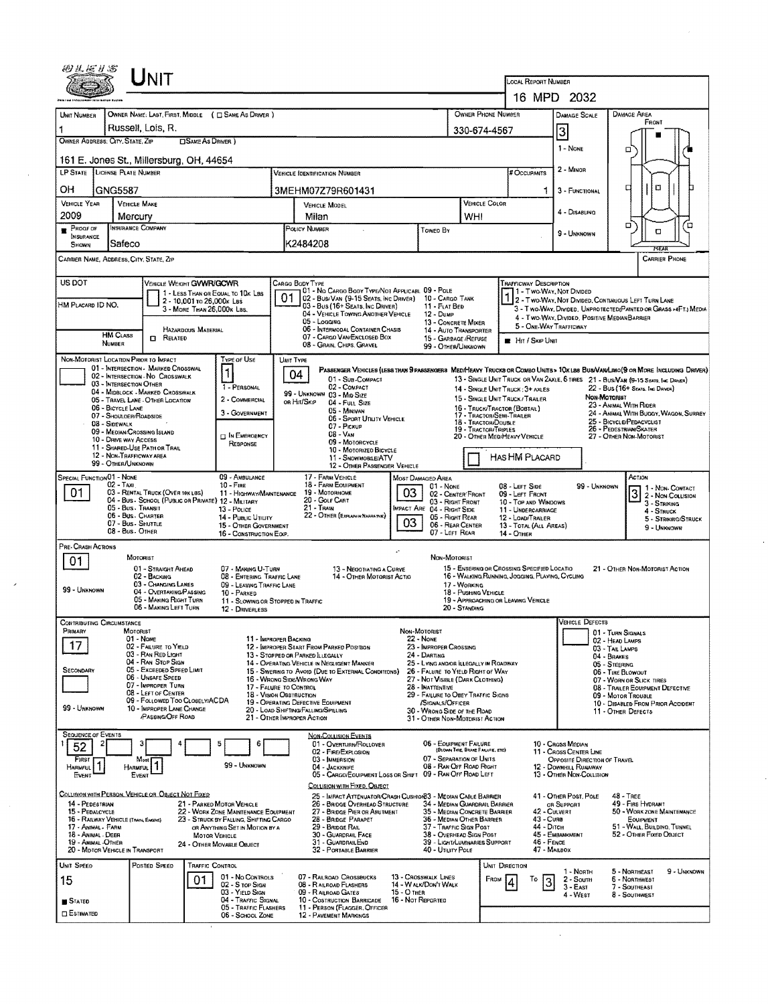|                                                                                         | ゆきどりえ                                                  | UNIT                                                                    |                                                                          |                                    |                                                                                                                                    |                                                                       |                                                               |                                                                                                                                                            |                                                                                                                         |                                                                   |             |  |  |
|-----------------------------------------------------------------------------------------|--------------------------------------------------------|-------------------------------------------------------------------------|--------------------------------------------------------------------------|------------------------------------|------------------------------------------------------------------------------------------------------------------------------------|-----------------------------------------------------------------------|---------------------------------------------------------------|------------------------------------------------------------------------------------------------------------------------------------------------------------|-------------------------------------------------------------------------------------------------------------------------|-------------------------------------------------------------------|-------------|--|--|
|                                                                                         |                                                        |                                                                         |                                                                          | LOCAL REPORT NUMBER<br>16 MPD 2032 |                                                                                                                                    |                                                                       |                                                               |                                                                                                                                                            |                                                                                                                         |                                                                   |             |  |  |
|                                                                                         |                                                        | OWNER NAME: LAST, FIRST, MIDDLE ( C SAME AS DRIVER )                    |                                                                          |                                    |                                                                                                                                    |                                                                       | OWNER PHONE NUMBER                                            |                                                                                                                                                            |                                                                                                                         | <b>DAMAGE AREA</b>                                                |             |  |  |
| UNIT NUMBER                                                                             | Russell, Lois, R.                                      |                                                                         |                                                                          |                                    |                                                                                                                                    |                                                                       |                                                               |                                                                                                                                                            | DAMAGE SCALE                                                                                                            | FRONT                                                             |             |  |  |
| OWNER ADDRESS: CITY, STATE, ZIP                                                         |                                                        | <b>CISAME AS DRIVER</b> )                                               |                                                                          |                                    |                                                                                                                                    |                                                                       | 330-674-4567                                                  |                                                                                                                                                            | 3                                                                                                                       |                                                                   |             |  |  |
|                                                                                         |                                                        |                                                                         |                                                                          |                                    |                                                                                                                                    |                                                                       |                                                               |                                                                                                                                                            | 1 - NONE                                                                                                                | □                                                                 |             |  |  |
| LP STATE LICENSE PLATE NUMBER                                                           |                                                        | 161 E. Jones St., Millersburg, OH, 44654                                |                                                                          |                                    | <b>VEHICLE IDENTIFICATION NUMBER</b>                                                                                               |                                                                       |                                                               | # Occupants                                                                                                                                                | 2 - Minon                                                                                                               |                                                                   |             |  |  |
| OН                                                                                      | GNG5587                                                |                                                                         |                                                                          |                                    | 3MEHM07Z79R601431                                                                                                                  |                                                                       |                                                               |                                                                                                                                                            | 3 - FUNCTIONAL                                                                                                          | α<br>п                                                            |             |  |  |
| VEHICLE YEAR                                                                            | <b>VEHICLE MAKE</b>                                    |                                                                         |                                                                          |                                    | VEHICLE MODEL                                                                                                                      |                                                                       | VEHICLE COLOR                                                 |                                                                                                                                                            |                                                                                                                         |                                                                   |             |  |  |
| 2009                                                                                    | Mercury                                                |                                                                         |                                                                          |                                    | Milan                                                                                                                              |                                                                       | WHI                                                           |                                                                                                                                                            | 4 - DISABLING                                                                                                           |                                                                   |             |  |  |
| INSURANCE COMPANY<br><b>PROGE OF</b>                                                    |                                                        |                                                                         |                                                                          |                                    | POLICY NUMBER                                                                                                                      | Toweo By                                                              |                                                               |                                                                                                                                                            | 9 - Unknown                                                                                                             | о<br>O                                                            | Έ           |  |  |
| INSURANCE<br>Safeco<br>Shown                                                            |                                                        |                                                                         |                                                                          |                                    | K2484208                                                                                                                           |                                                                       |                                                               |                                                                                                                                                            |                                                                                                                         | REA                                                               |             |  |  |
| Carrier Name, Address, City, State, Zip                                                 |                                                        |                                                                         |                                                                          |                                    |                                                                                                                                    |                                                                       |                                                               |                                                                                                                                                            |                                                                                                                         | <b>CARRIER PHONE</b>                                              |             |  |  |
| US DOT                                                                                  |                                                        | VEHICLE WEIGHT GWWR/GCWR                                                |                                                                          |                                    | CARGO BODY TYPE                                                                                                                    |                                                                       |                                                               | Frafficway Description                                                                                                                                     |                                                                                                                         |                                                                   |             |  |  |
|                                                                                         |                                                        | 1 - LESS THAN OR EQUAL TO 10K LBS                                       |                                                                          | 01                                 | 1 01 - No Cargo Body Type/Not Applicabl 09 - Pole<br>02 - Bus/Van (9-15 Seats, Inc Driver)                                         | 10 - Cargo Tank                                                       |                                                               | 1 - Two-Way, Not Divided                                                                                                                                   |                                                                                                                         |                                                                   |             |  |  |
| HM PLACARD ID NO.                                                                       |                                                        | 2 - 10,001 to 26,000k Las<br>3 - MORE THAN 26,000K LBS.                 |                                                                          |                                    | 03 - Bus (16+ Seats, Inc Driver)<br>04 - VEHICLE TOWING ANOTHER VEHICLE                                                            | 11 - FLAT BED<br>12 - Dump                                            |                                                               |                                                                                                                                                            | 2 - Two-Way, Not Divided, Continuous Left Turn Lane<br>3 - Two-WAY, DIVIDED, UNPROTECTED (PAINTED OR GRASS >4FT.) MEDIA |                                                                   |             |  |  |
|                                                                                         |                                                        | HAZARDOUS MATERIAL                                                      |                                                                          |                                    | 05 - Logging<br>06 - INTERMODAL CONTAINER CHASIS                                                                                   | 13 - CONCRETE MIXER                                                   |                                                               | 5 - ONE-WAY TRAFFICWAY                                                                                                                                     | 4 - TWO-WAY, DIVIDED, POSITIVE MEDIAN BARRIER                                                                           |                                                                   |             |  |  |
|                                                                                         | <b>HM CLASS</b><br>NUMBER                              | <b>CI RELATED</b>                                                       |                                                                          |                                    | 07 - CARGO VAN/ENCLOSED BOX<br>08 - GRAIN, CHIPS, GRAVEL                                                                           | 15 - GARBAGE / REFUSE                                                 | 14 - Auto Transporter                                         | <b>E</b> Hir / Skip Unit                                                                                                                                   |                                                                                                                         |                                                                   |             |  |  |
| NON-MOTORIST LOCATION PRIOR TO IMPACT                                                   |                                                        |                                                                         | <b>TYPE OF USE</b>                                                       |                                    | <b>UNIT TYPE</b>                                                                                                                   | 99 - OTHER/UNKNOWN                                                    |                                                               |                                                                                                                                                            |                                                                                                                         |                                                                   |             |  |  |
|                                                                                         |                                                        | 01 - INTERSECTION - MARKED CROSSWAL<br>02 - INTERSECTION - NO CROSSWALK |                                                                          |                                    | PASSENGER VEHICLES (LESS THAN SPASSENGERS MEDIMEAVY TRUCKS OR COMBO UNITS > 10K LBS BUS/VAN/LIMO(S OR MORE INCLUDING DRIVER)<br>04 |                                                                       |                                                               |                                                                                                                                                            |                                                                                                                         |                                                                   |             |  |  |
|                                                                                         | 03 - INTERSECTION OTHER                                | 04 - MIDBLOCK - MARKED CROSSWALK                                        | 1 - PERSONAL                                                             |                                    | 01 - Sub-Compact<br>02 - COMPACT                                                                                                   |                                                                       |                                                               | 13 - SINGLE UNIT TRUCK OR VAN 2AXLE, 6 TIRES 21 - BUS/VAN (9-15 SEATS, INC DRIVER)<br>22 - BUS (16+ SEATS, INC DRIVER)<br>14 - SINGLE UNIT TRUCK: 3+ AXLES |                                                                                                                         |                                                                   |             |  |  |
|                                                                                         |                                                        | 05 - TRAVEL LANE - OTHER LOCATION                                       | 2 - COMMERCIAL                                                           |                                    | 99 - UNKNOWN 03 - MID SIZE<br>OR HIT/SKIP<br>04 - Futt Size                                                                        |                                                                       |                                                               | NON-MOTORIST<br>15 - SINGLE UNIT TRUCK/TRAILER<br>23 - ANIMAL WITH RIDER                                                                                   |                                                                                                                         |                                                                   |             |  |  |
|                                                                                         | 06 - BICYCLE LANE<br>07 - SHOULDER/ROADSIDE            |                                                                         | 3 - GOVERNMENT                                                           |                                    | 05 - Minivan<br>06 - SPORT UTILITY VEHICLE                                                                                         |                                                                       | 17 - TRACTOR/SEMI-TRAILER<br>18 - TRACTOR/DOUBLE              | 16 - TRUCK/TRACTOR (BOBTAIL)                                                                                                                               |                                                                                                                         | 24 - ANIMAL WITH BUGGY, WAGON, SURREY<br>25 - BICYCLE/PEDACVCLIST |             |  |  |
|                                                                                         | 08 - Sidewalk<br>09 - MEDIAN/CROSSING ISLAND           |                                                                         | <b>DIN EMERGENCY</b>                                                     |                                    | 07 - Pickup<br>$08 - V_{AN}$                                                                                                       |                                                                       | 19 - TRACTOR/TRIPLES                                          | 20 - OTHER MEDIMEAVY VEHICLE                                                                                                                               | 26 - PEDESTRIAN/SKATER<br>27 - OTHER NON-MOTORIST                                                                       |                                                                   |             |  |  |
|                                                                                         | 10 - DRIVE WAY ACCESS<br>11 - SHARED-USE PATH OR TRAIL |                                                                         | RESPONSE                                                                 |                                    | 09 - MOTORCYCLE<br>10 - MOTORIZED BICYCLE                                                                                          |                                                                       |                                                               |                                                                                                                                                            |                                                                                                                         |                                                                   |             |  |  |
|                                                                                         | 12 - NON-TRAFFICWAY AREA<br>99 - OTHER/UNKNOWN         |                                                                         |                                                                          |                                    | 11 - SNOWMOB1E/ATV<br>12 - OTHER PASSENGER VEHICLE                                                                                 |                                                                       |                                                               | HAS HM PLACARD                                                                                                                                             |                                                                                                                         |                                                                   |             |  |  |
| <b>SPECIAL FUNCTION 01 - NONE</b>                                                       |                                                        |                                                                         | 09 - AMBULANCE                                                           |                                    | 17 - FARM VEHICLE                                                                                                                  | MOST DAMAGED AREA<br>01 - NONE                                        |                                                               |                                                                                                                                                            |                                                                                                                         | ACTION                                                            |             |  |  |
| 01.                                                                                     | 02 - Тахі                                              | 03 - RENTAL TRUCK (OVER 10K LBS)                                        | $10 - F$ IRE<br>11 - HIGHWAY/MAINTENANCE                                 |                                    | 18 - FARM EQUIPMENT<br>03<br>19 - MOTORHOME                                                                                        | 08 - LEFT SIDE<br>09 - LEFT FRONT                                     | 99 - Unknown<br>1 - Non-Contact<br>3 2 - NON-CONTACT          |                                                                                                                                                            |                                                                                                                         |                                                                   |             |  |  |
| 04 - Bus - School (Public or Private) 12 - Military<br>05 - Bus - Transit<br>13 - Pouce |                                                        |                                                                         |                                                                          |                                    | 20 - GOLF CART<br>21 - Train                                                                                                       | 03 - RIGHT FRONT<br><b>IMPACT ARE 04 - RIGHT SIDE</b>                 |                                                               | 10 - TOP AND WINDOWS<br>11 - UNDERCARRIAGE                                                                                                                 |                                                                                                                         | 3 - STRIKING<br>4 - Struck                                        |             |  |  |
|                                                                                         | 06 - Bus. Charter<br>07 - Bus - SHUTTLE                |                                                                         | 14 - Pueuc UTILITY<br>15 - OTHER COVERNMENT                              |                                    | 22 - OTHER (EXPLANAR NARRATIVE)<br>03                                                                                              | 05 - Right Rear<br>06 - REAR CENTER                                   |                                                               | 12 - LOAD/TRAILER<br>13 - TOTAL (ALL AREAS)                                                                                                                |                                                                                                                         | 5 - STRIKING/STRUCK<br>9 - Unknown                                |             |  |  |
|                                                                                         | 08 - Bus. OTHER                                        |                                                                         | 16 - CONSTRUCTION EOIP.                                                  |                                    |                                                                                                                                    | 07 - LEFT REAR                                                        |                                                               | 14 - Отнен                                                                                                                                                 |                                                                                                                         |                                                                   |             |  |  |
| PRE-CRASH ACTIONS                                                                       | MOTORIST                                               |                                                                         |                                                                          |                                    | $\mathcal{C}$                                                                                                                      | NON-MOTORIST                                                          |                                                               |                                                                                                                                                            |                                                                                                                         |                                                                   |             |  |  |
| 01                                                                                      |                                                        | 01 - STRAIGHT AHEAD                                                     | 07 - MAKING U-TURN                                                       |                                    | 13 - Negotiating a Curve                                                                                                           |                                                                       |                                                               | 15 - ENTERING OR CROSSING SPECIFIED LOCATIO                                                                                                                |                                                                                                                         | 21 - OTHER NON-MOTORIST ACTION                                    |             |  |  |
| 99 - UNKNOWN                                                                            |                                                        | 02 - BACKING<br>03 - CHANGING LANES                                     | 08 - ENTERING TRAFFIC LANE<br>09 - LEAVING TRAFFIC LANE                  |                                    | 14 - OTHER MOTORIST ACTIO                                                                                                          |                                                                       | 17 - WORKING                                                  | 16 - WALKING RUNNING, JOGGING, PLAYING, CYCLING                                                                                                            |                                                                                                                         |                                                                   |             |  |  |
|                                                                                         |                                                        | 04 - OVERTAKING/PASSING<br>05 - MAKING RIGHT TURN                       | 10 - PARKED<br>11 - SLOWING OR STOPPED IN TRAFFIC                        |                                    |                                                                                                                                    |                                                                       | 18 - PUSHING VEHICLE                                          | 19 - APPROACHING OR LEAVING VEHICLE                                                                                                                        |                                                                                                                         |                                                                   |             |  |  |
|                                                                                         |                                                        | 06 - MAKING LEFT TURN                                                   | 12 - DRIVERLESS                                                          |                                    |                                                                                                                                    |                                                                       | 20 - STANDING                                                 |                                                                                                                                                            |                                                                                                                         |                                                                   |             |  |  |
| <b>CONTRIBUTING CIRCUMSTANCE</b><br>PRIMARY                                             | MOTORIST                                               |                                                                         |                                                                          |                                    |                                                                                                                                    | NON-MOTORIST                                                          |                                                               |                                                                                                                                                            | <b>VEHICLE DEFECTS</b>                                                                                                  | 01 - TURN SIGNALS                                                 |             |  |  |
| 17                                                                                      | 01 - Nowe                                              | 02 - FAILURE TO YIELD                                                   | 11 - IMPROPER BACKING                                                    |                                    | 12 - IMPROPER START FROM PARKED POSITION                                                                                           | $22 - Now$<br>23 - IMPROPER CROSSING                                  |                                                               |                                                                                                                                                            |                                                                                                                         | 02 - HEAD LAMPS<br>03 - TAIL LAMPS                                |             |  |  |
|                                                                                         |                                                        | 03 - RAN RED LIGHT<br>04 - RAN STOP SIGN                                |                                                                          |                                    | 13 - STOPPED OR PARKED LIEGALLY<br>14 - OPERATING VEHICLE IN NEGLIGENT MANNER                                                      | 24 - DARTING<br>25 - LYING AND/OR ILLEGALLY IN ROADWAY                |                                                               |                                                                                                                                                            | 04 - BRAKES<br>05 - STEERING<br>06 - TIRE BLOWOUT<br>07 - WORN OR SLICK TIRES                                           |                                                                   |             |  |  |
| SECONDARY                                                                               |                                                        | 05 - Exceeped Speed LIMIT<br>06 - UNSAFE SPEED                          |                                                                          |                                    | 15 - Swering to Avoid (Due to External Conditions)<br>16 - WRONG SIDE/WRONG WAY                                                    | 26 - FALURE TO YIELD RIGHT OF WAY<br>27 - NOT VISIBLE (DARK CLOTHING) |                                                               |                                                                                                                                                            |                                                                                                                         |                                                                   |             |  |  |
|                                                                                         |                                                        | 07 - IMPROPER TURN<br>08 - LEFT OF CENTER                               | 18 - VISION OBSTRUCTION                                                  |                                    | 17 - FALURE TO CONTROL<br>28 - INATTENTIVE                                                                                         | 29 - FAILURE TO OBEY TRAFFIC SIGNS                                    |                                                               | 08 - TRAILER EQUIPMENT DEFECTIVE<br>09 - MOTOR TROUBLE<br>10 - DISABLED FROM PRIOR ACCIDENT<br>11 - OTHER DEFECTS                                          |                                                                                                                         |                                                                   |             |  |  |
| 99 - UNKNOWN                                                                            |                                                        | 09 - FOLLOWED TOO CLOSELY/ACDA<br>10 - IMPROPER LANE CHANGE             |                                                                          |                                    | 19 - OPERATING DEFECTIVE EQUIPMENT<br>20 - LOAD SHIFTING/FALLING/SPILLING                                                          | /SIGNALS/OFFICER<br>30 - WRONG SIDE OF THE ROAD                       |                                                               |                                                                                                                                                            |                                                                                                                         |                                                                   |             |  |  |
|                                                                                         |                                                        | <b>PASSING/OFF ROAD</b>                                                 |                                                                          |                                    | 21 - OTHER IMPROPER ACTION                                                                                                         | 31 - OTHER NDN-MOTORIST ACTION                                        |                                                               |                                                                                                                                                            |                                                                                                                         |                                                                   |             |  |  |
| <b>SEQUENCE OF EVENTS</b>                                                               |                                                        |                                                                         |                                                                          |                                    | <b>NON-COLLISION EVENTS</b>                                                                                                        |                                                                       |                                                               |                                                                                                                                                            |                                                                                                                         |                                                                   |             |  |  |
| 52                                                                                      |                                                        |                                                                         | 5<br>6                                                                   |                                    | 01 - OVERTURN/ROLLOVER<br>02 - FIRE/EXPLOSION                                                                                      |                                                                       | 06 - EQUIPMENT FAILURE<br>(BLOWN THE, BRANE FAILURE, ETC)     |                                                                                                                                                            | 10 - Cross Median<br>11 - Cross Center Line                                                                             |                                                                   |             |  |  |
| FIRST<br>Harmful                                                                        | Most<br><b>HARMFUL</b>                                 |                                                                         | 99 - UNKNOWN                                                             |                                    | 03 - IMMERSION<br>04 - Jackknife                                                                                                   |                                                                       | 07 - SEPARATION OF UNITS<br>08 - RAN OFF ROAD RIGHT           |                                                                                                                                                            | OPPOSITE DIRECTION OF TRAVEL<br>12 - Downhill Runaway                                                                   |                                                                   |             |  |  |
| EVENT                                                                                   | EVENT                                                  |                                                                         |                                                                          |                                    | 05 - CARGO/EOUIPMENT LOSS OR SHIFT 09 - RAN OFF ROAD LEFT<br>COLLISION WITH FIXED, OBJECT                                          |                                                                       |                                                               |                                                                                                                                                            | 13 - OTHER NON-COLLISION                                                                                                |                                                                   |             |  |  |
|                                                                                         |                                                        | COLLISION WITH PERSON, VEHICLE OR OBJECT NOT FIXED                      |                                                                          |                                    | 25 - IMPACT ATTENUATOR/CRASH CUSHION33 - MEDIAN CABLE BARRIER                                                                      |                                                                       |                                                               |                                                                                                                                                            | 41 - OTHER POST, POLE                                                                                                   | $48 -$ TREE                                                       |             |  |  |
| 14 - PEDESTRIAN<br>15 - PEDALCYCLE                                                      |                                                        |                                                                         | 21 - PARKED MOTOR VEHICLE<br>22 - WORK ZONE MAINTENANCE EQUIPMENT        |                                    | 26 - BRIDGE OVERHEAD STRUCTURE<br>27 - BRIDGE PIER OR ABUTMENT                                                                     |                                                                       | 34 - MEDIAN GUARDRAIL BARRIER<br>35 - MEDIAN CONCRETE BARRIER |                                                                                                                                                            | OR SUPPORT<br>42 - CULVERT                                                                                              | 49 - Fire Hydrant<br>50 - WORK ZONE MAINTENANCE                   |             |  |  |
| 16 - RAILWAY VEHICLE (TRAIN, ENGINE)<br>17 - ANIMAL - FARM                              |                                                        |                                                                         | 23 - STRUCK BY FALLING, SHIFTING CARGO<br>OR ANYTHING SET IN MOTION BY A |                                    | 28 - Bridge PARAPET<br>29 - BRIDGE RAIL                                                                                            | 37 - TRAFFIC SIGN POST                                                | 36 - MEDIAN OTHER BARRIER                                     | $43 - C$ URB<br>44 - Diтсн                                                                                                                                 |                                                                                                                         | EQUIPMENT<br>51 - WALL, BUILDING, TUNNEL                          |             |  |  |
| 18 - Animal - Deer<br>19 - ANIMAL -OTHER                                                |                                                        |                                                                         | <b>MOTOR VEHICLE</b><br>24 OTHER MOVABLE OBJECT                          |                                    | 30 - GUARDRAIL FACE<br>31 - GUARDRAILEND                                                                                           |                                                                       | 38 - OVERHEAD SIGN POST<br>39 - LIGHT/LUMINARIES SUPPORT      | 46 - FENCE                                                                                                                                                 | 45 - EMBANKMENT                                                                                                         | 52 - OTHER FIXED OBJECT                                           |             |  |  |
| 20 - MOTOR VEHICLE IN TRANSPORT                                                         |                                                        |                                                                         |                                                                          |                                    | 32 - PORTABLE BARRIER                                                                                                              | 40 - UTILITY POLE                                                     |                                                               |                                                                                                                                                            | 47 - MAILBOX                                                                                                            |                                                                   |             |  |  |
| UNIT SPEED                                                                              |                                                        | POSTED SPEED<br>TRAFFIC CONTROL                                         |                                                                          |                                    |                                                                                                                                    |                                                                       |                                                               | UNIT DIRECTION                                                                                                                                             | 1 - North                                                                                                               | 5 - NORTHEAST                                                     | 9 - Unknown |  |  |
| 15                                                                                      |                                                        | 01.                                                                     | 01 - No CONTROLS<br>02 - S TOP SIGN                                      |                                    | 07 - RAILROAD CROSSBUCKS<br>08 - RAILROAD FLASHERS                                                                                 | 13 - CROSSWALK LINES<br>14 - W ALK/DON'T WALK                         | FROM                                                          | То<br> 3                                                                                                                                                   | 2 - South<br>$3 - East$                                                                                                 | 6 - NORTHWEST<br>7 - SOUTHEAST                                    |             |  |  |
| STATED                                                                                  |                                                        |                                                                         | 03 - YIELD SIGN<br>04 - TRAFFIC SIGNAL                                   |                                    | 09 - R AILROAD GATES<br>$15 - O$ THER<br>10 - COSTRUCTION BARRICADE                                                                | 16 - Not Reported                                                     |                                                               |                                                                                                                                                            | 4 - West                                                                                                                | 8 - SOUTHWEST                                                     |             |  |  |
|                                                                                         |                                                        |                                                                         | 05 - TRAFFIC FLASHERS                                                    |                                    | 11 - PERSON (FLAGGER, OFFICER                                                                                                      |                                                                       |                                                               |                                                                                                                                                            |                                                                                                                         |                                                                   |             |  |  |
| <b>D</b> ESTIMATED                                                                      |                                                        |                                                                         | 06 - SCHOOL ZONE                                                         |                                    | 12 - PAVEMENT MARKINGS                                                                                                             |                                                                       |                                                               |                                                                                                                                                            |                                                                                                                         |                                                                   |             |  |  |

 $\mathcal{L}^{\text{max}}_{\text{max}}$  and  $\mathcal{L}^{\text{max}}_{\text{max}}$ 

 $\mathcal{L}_{\text{max}}$ 

 $\cdot$